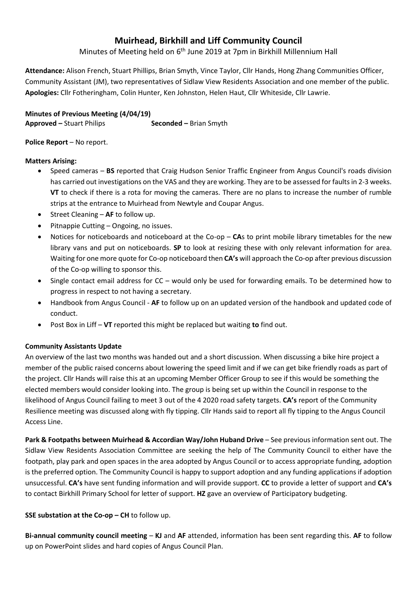# **Muirhead, Birkhill and Liff Community Council**

Minutes of Meeting held on 6<sup>th</sup> June 2019 at 7pm in Birkhill Millennium Hall

**Attendance:** Alison French, Stuart Phillips, Brian Smyth, Vince Taylor, Cllr Hands, Hong Zhang Communities Officer, Community Assistant (JM), two representatives of Sidlaw View Residents Association and one member of the public. **Apologies:** Cllr Fotheringham, Colin Hunter, Ken Johnston, Helen Haut, Cllr Whiteside, Cllr Lawrie.

**Minutes of Previous Meeting (4/04/19) Approved –** Stuart Philips **Seconded –** Brian Smyth

### **Police Report – No report.**

### **Matters Arising:**

- Speed cameras **BS** reported that Craig Hudson Senior Traffic Engineer from Angus Council's roads division has carried out investigations on the VAS and they are working. They are to be assessed for faults in 2-3 weeks. **VT** to check if there is a rota for moving the cameras. There are no plans to increase the number of rumble strips at the entrance to Muirhead from Newtyle and Coupar Angus.
- Street Cleaning **AF** to follow up.
- Pitnappie Cutting Ongoing, no issues.
- Notices for noticeboards and noticeboard at the Co-op **CA**s to print mobile library timetables for the new library vans and put on noticeboards. **SP** to look at resizing these with only relevant information for area. Waiting for one more quote for Co-op noticeboard then **CA's** will approach the Co-op after previous discussion of the Co-op willing to sponsor this.
- Single contact email address for CC would only be used for forwarding emails. To be determined how to progress in respect to not having a secretary.
- Handbook from Angus Council **AF** to follow up on an updated version of the handbook and updated code of conduct.
- Post Box in Liff **VT** reported this might be replaced but waiting **to** find out.

# **Community Assistants Update**

An overview of the last two months was handed out and a short discussion. When discussing a bike hire project a member of the public raised concerns about lowering the speed limit and if we can get bike friendly roads as part of the project. Cllr Hands will raise this at an upcoming Member Officer Group to see if this would be something the elected members would consider looking into. The group is being set up within the Council in response to the likelihood of Angus Council failing to meet 3 out of the 4 2020 road safety targets. **CA's** report of the Community Resilience meeting was discussed along with fly tipping. Cllr Hands said to report all fly tipping to the Angus Council Access Line.

**Park & Footpaths between Muirhead & Accordian Way/John Huband Drive** – See previous information sent out. The Sidlaw View Residents Association Committee are seeking the help of The Community Council to either have the footpath, play park and open spaces in the area adopted by Angus Council or to access appropriate funding, adoption is the preferred option. The Community Council is happy to support adoption and any funding applications if adoption unsuccessful. **CA's** have sent funding information and will provide support. **CC** to provide a letter of support and **CA's** to contact Birkhill Primary School for letter of support. **HZ** gave an overview of Participatory budgeting.

# **SSE substation at the Co-op – CH** to follow up.

**Bi-annual community council meeting** – **KJ** and **AF** attended, information has been sent regarding this. **AF** to follow up on PowerPoint slides and hard copies of Angus Council Plan.